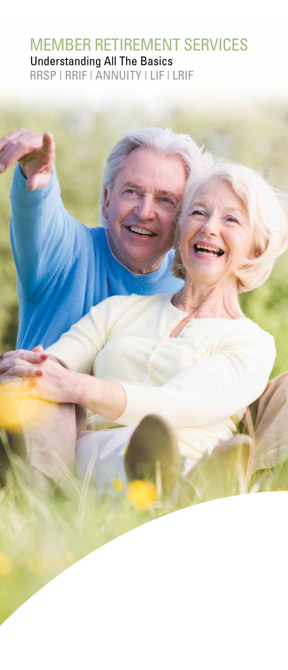# MEMBER RETIREMENT SERVICES Understanding All The Basics

RRSP | RRIF | ANNUITY | LIF | LRIF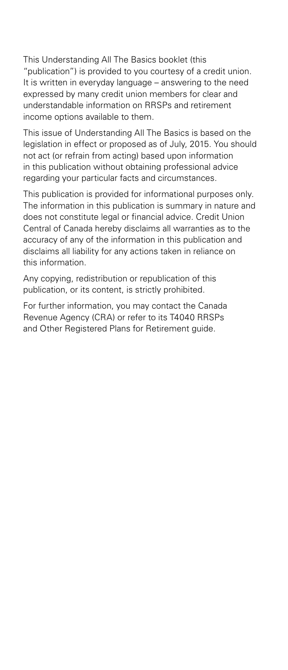This Understanding All The Basics booklet (this "publication") is provided to you courtesy of a credit union. It is written in everyday language – answering to the need expressed by many credit union members for clear and understandable information on RRSPs and retirement income options available to them.

This issue of Understanding All The Basics is based on the legislation in effect or proposed as of July, 2015. You should not act (or refrain from acting) based upon information in this publication without obtaining professional advice regarding your particular facts and circumstances.

This publication is provided for informational purposes only. The information in this publication is summary in nature and does not constitute legal or financial advice. Credit Union Central of Canada hereby disclaims all warranties as to the accuracy of any of the information in this publication and disclaims all liability for any actions taken in reliance on this information.

Any copying, redistribution or republication of this publication, or its content, is strictly prohibited.

For further information, you may contact the Canada Revenue Agency (CRA) or refer to its T4040 RRSPs and Other Registered Plans for Retirement guide.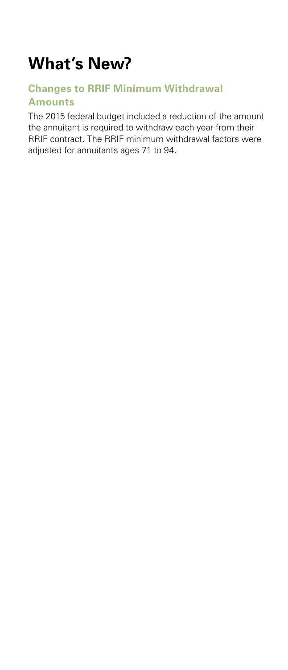# **What's New?**

## **Changes to RRIF Minimum Withdrawal Amounts**

The 2015 federal budget included a reduction of the amount the annuitant is required to withdraw each year from their RRIF contract. The RRIF minimum withdrawal factors were adjusted for annuitants ages 71 to 94.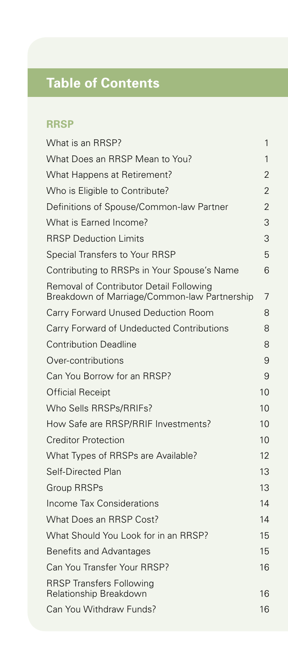# **Table of Contents**

# **RRSP**

| What is an RRSP?                                                                        | 1  |
|-----------------------------------------------------------------------------------------|----|
| What Does an RRSP Mean to You?                                                          | 1  |
| What Happens at Retirement?                                                             | 2  |
| Who is Eligible to Contribute?                                                          | 2  |
| Definitions of Spouse/Common-law Partner                                                | 2  |
| What is Earned Income?                                                                  | 3  |
| <b>RRSP Deduction Limits</b>                                                            | 3  |
| Special Transfers to Your RRSP                                                          | 5  |
| Contributing to RRSPs in Your Spouse's Name                                             | 6  |
| Removal of Contributor Detail Following<br>Breakdown of Marriage/Common-law Partnership | 7  |
| Carry Forward Unused Deduction Room                                                     | 8  |
| Carry Forward of Undeducted Contributions                                               | 8  |
| <b>Contribution Deadline</b>                                                            | 8  |
| Over-contributions                                                                      | 9  |
| Can You Borrow for an RRSP?                                                             | 9  |
| <b>Official Receipt</b>                                                                 | 10 |
| Who Sells RRSPs/RRIFs?                                                                  | 10 |
| How Safe are RRSP/RRIF Investments?                                                     | 10 |
| <b>Creditor Protection</b>                                                              | 10 |
| What Types of RRSPs are Available?                                                      | 12 |
| Self-Directed Plan                                                                      | 13 |
| <b>Group RRSPs</b>                                                                      | 13 |
| Income Tax Considerations                                                               | 14 |
| What Does an RRSP Cost?                                                                 | 14 |
| What Should You Look for in an RRSP?                                                    | 15 |
| <b>Benefits and Advantages</b>                                                          | 15 |
| Can You Transfer Your RRSP?                                                             | 16 |
| <b>RRSP Transfers Following</b><br>Relationship Breakdown                               | 16 |
| Can You Withdraw Funds?                                                                 | 16 |
|                                                                                         |    |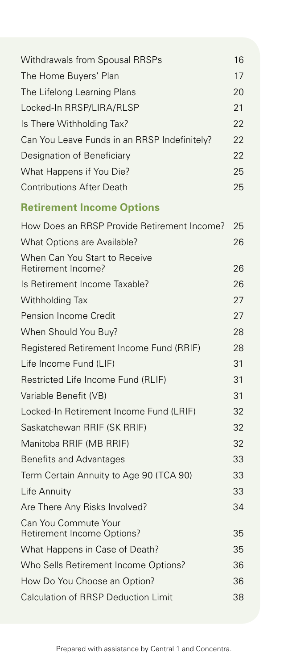| Withdrawals from Spousal RRSPs                      | 16 |
|-----------------------------------------------------|----|
| The Home Buyers' Plan                               | 17 |
| The Lifelong Learning Plans                         | 20 |
| Locked-In RRSP/LIRA/RLSP                            | 21 |
| Is There Withholding Tax?                           | 22 |
| Can You Leave Funds in an RRSP Indefinitely?        | 22 |
| Designation of Beneficiary                          | 22 |
| What Happens if You Die?                            | 25 |
| <b>Contributions After Death</b>                    | 25 |
| <b>Retirement Income Options</b>                    |    |
| How Does an RRSP Provide Retirement Income?         | 25 |
| What Options are Available?                         | 26 |
| When Can You Start to Receive<br>Retirement Income? | 26 |
| Is Retirement Income Taxable?                       | 26 |
| Withholding Tax                                     | 27 |
| Pension Income Credit                               | 27 |
| When Should You Buy?                                | 28 |
| Registered Retirement Income Fund (RRIF)            | 28 |
| Life Income Fund (LIF)                              | 31 |
| Restricted Life Income Fund (RLIF)                  | 31 |
| Variable Benefit (VB)                               | 31 |
| Locked-In Retirement Income Fund (LRIF)             | 32 |
| Saskatchewan RRIF (SK RRIF)                         | 32 |
| Manitoba RRIF (MB RRIF)                             | 32 |
| <b>Benefits and Advantages</b>                      | 33 |
| Term Certain Annuity to Age 90 (TCA 90)             | 33 |
| Life Annuity                                        | 33 |
| Are There Any Risks Involved?                       | 34 |
| Can You Commute Your<br>Retirement Income Options?  | 35 |
| What Happens in Case of Death?                      | 35 |
| Who Sells Retirement Income Options?                | 36 |
| How Do You Choose an Option?                        | 36 |
| <b>Calculation of RRSP Deduction Limit</b>          | 38 |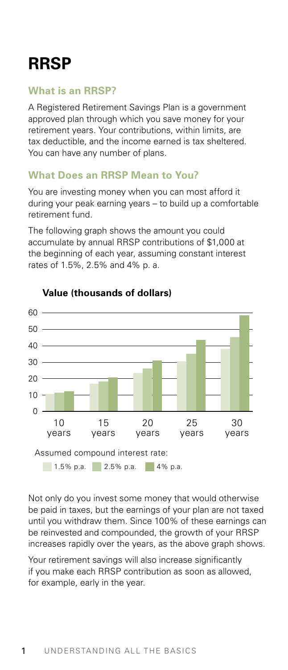# <span id="page-5-0"></span>**RRSP**

# **What is an RRSP?**

A Registered Retirement Savings Plan is a government approved plan through which you save money for your retirement years. Your contributions, within limits, are tax deductible, and the income earned is tax sheltered. You can have any number of plans.

# **What Does an RRSP Mean to You?**

You are investing money when you can most afford it during your peak earning years – to build up a comfortable retirement fund.

The following graph shows the amount you could accumulate by annual RRSP contributions of \$1,000 at the beginning of each year, assuming constant interest rates of 1.5%, 2.5% and 4% p. a.



#### **Value (thousands of dollars)**

Not only do you invest some money that would otherwise be paid in taxes, but the earnings of your plan are not taxed until you withdraw them. Since 100% of these earnings can be reinvested and compounded, the growth of your RRSP increases rapidly over the years, as the above graph shows.

Your retirement savings will also increase significantly if you make each RRSP contribution as soon as allowed, for example, early in the year.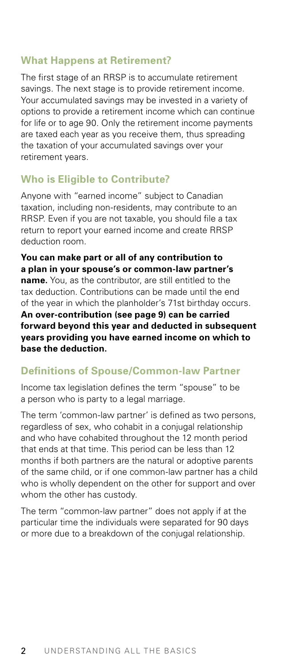#### <span id="page-6-0"></span>**What Happens at Retirement?**

The first stage of an RRSP is to accumulate retirement savings. The next stage is to provide retirement income. Your accumulated savings may be invested in a variety of options to provide a retirement income which can continue for life or to age 90. Only the retirement income payments are taxed each year as you receive them, thus spreading the taxation of your accumulated savings over your retirement years.

## **Who is Eligible to Contribute?**

Anyone with "earned income" subject to Canadian taxation, including non-residents, may contribute to an RRSP. Even if you are not taxable, you should file a tax return to report your earned income and create RRSP deduction room.

**You can make part or all of any contribution to a plan in your spouse's or common-law partner's name.** You, as the contributor, are still entitled to the tax deduction. Contributions can be made until the end of the year in which the planholder's 71st birthday occurs. **An over-contribution (see page 9) can be carried forward beyond this year and deducted in subsequent years providing you have earned income on which to** 

**base the deduction.**

#### **Definitions of Spouse/Common-law Partner**

Income tax legislation defines the term "spouse" to be a person who is party to a legal marriage.

The term 'common-law partner' is defined as two persons, regardless of sex, who cohabit in a conjugal relationship and who have cohabited throughout the 12 month period that ends at that time. This period can be less than 12 months if both partners are the natural or adoptive parents of the same child, or if one common-law partner has a child who is wholly dependent on the other for support and over whom the other has custody.

The term "common-law partner" does not apply if at the particular time the individuals were separated for 90 days or more due to a breakdown of the conjugal relationship.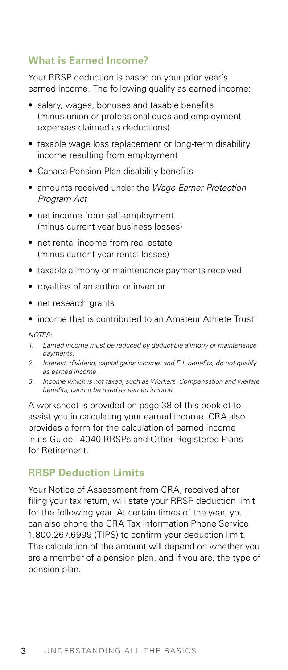# <span id="page-7-0"></span>**What is Earned Income?**

Your RRSP deduction is based on your prior year's earned income. The following qualify as earned income:

- salary, wages, bonuses and taxable benefits (minus union or professional dues and employment expenses claimed as deductions)
- taxable wage loss replacement or long-term disability income resulting from employment
- Canada Pension Plan disability benefits
- amounts received under the *Wage Earner Protection Program Act*
- net income from self-employment (minus current year business losses)
- net rental income from real estate (minus current year rental losses)
- taxable alimony or maintenance payments received
- royalties of an author or inventor
- net research grants
- income that is contributed to an Amateur Athlete Trust

*NOTES:*

- *1. Earned income must be reduced by deductible alimony or maintenance payments.*
- *2. Interest, dividend, capital gains income, and E.I. benefits, do not qualify as earned income.*
- *3. Income which is not taxed, such as Workers' Compensation and welfare benefits, cannot be used as earned income.*

A worksheet is provided on page 38 of this booklet to assist you in calculating your earned income. CRA also provides a form for the calculation of earned income in its Guide T4040 RRSPs and Other Registered Plans for Retirement.

#### **RRSP Deduction Limits**

Your Notice of Assessment from CRA, received after filing your tax return, will state your RRSP deduction limit for the following year. At certain times of the year, you can also phone the CRA Tax Information Phone Service 1.800.267.6999 (TIPS) to confirm your deduction limit. The calculation of the amount will depend on whether you are a member of a pension plan, and if you are, the type of pension plan.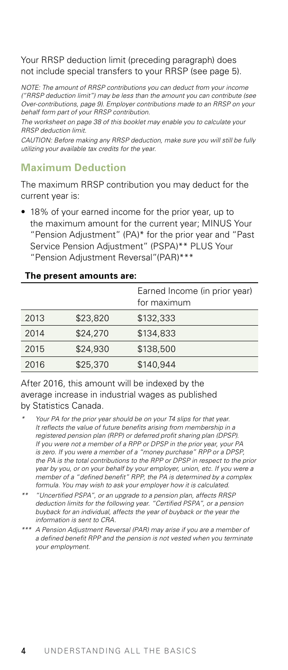#### Your RRSP deduction limit (preceding paragraph) does not include special transfers to your RRSP (see page 5).

*NOTE: The amount of RRSP contributions you can deduct from your income ("RRSP deduction limit") may be less than the amount you can contribute (see Over-contributions, page 9). Employer contributions made to an RRSP on your behalf form part of your RRSP contribution.*

*The worksheet on page 38 of this booklet may enable you to calculate your RRSP deduction limit.*

*CAUTION: Before making any RRSP deduction, make sure you will still be fully utilizing your available tax credits for the year.*

# **Maximum Deduction**

The maximum RRSP contribution you may deduct for the current year is:

• 18% of your earned income for the prior year, up to the maximum amount for the current year; MINUS Your "Pension Adjustment" (PA)\* for the prior year and "Past Service Pension Adjustment" (PSPA)\*\* PLUS Your "Pension Adjustment Reversal"(PAR)\*\*\*

|      |          | Earned Income (in prior year)<br>for maximum |  |  |  |
|------|----------|----------------------------------------------|--|--|--|
| 2013 | \$23,820 | \$132,333                                    |  |  |  |
| 2014 | \$24,270 | \$134,833                                    |  |  |  |
| 2015 | \$24,930 | \$138,500                                    |  |  |  |
| 2016 | \$25,370 | \$140,944                                    |  |  |  |

#### **The present amounts are:**

After 2016, this amount will be indexed by the average increase in industrial wages as published by Statistics Canada.

- *\* Your PA for the prior year should be on your T4 slips for that year. It reflects the value of future benefits arising from membership in a registered pension plan (RPP) or deferred profit sharing plan (DPSP). If you were not a member of a RPP or DPSP in the prior year, your PA is zero. If you were a member of a "money purchase" RPP or a DPSP, the PA is the total contributions to the RPP or DPSP in respect to the prior year by you, or on your behalf by your employer, union, etc. If you were a member of a "defined benefit" RPP, the PA is determined by a complex formula. You may wish to ask your employer how it is calculated.*
- *\*\* "Uncertified PSPA", or an upgrade to a pension plan, affects RRSP deduction limits for the following year. "Certified PSPA", or a pension buyback for an individual, affects the year of buyback or the year the information is sent to CRA.*
- *\*\*\* A Pension Adjustment Reversal (PAR) may arise if you are a member of a defined benefit RPP and the pension is not vested when you terminate your employment.*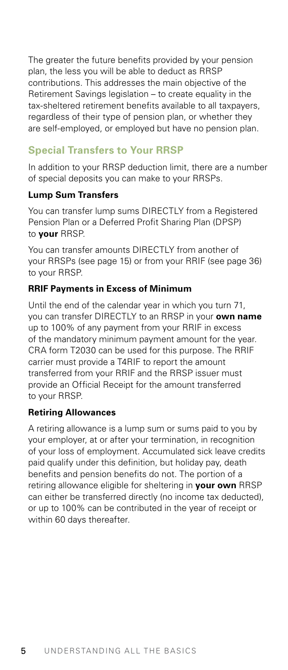The greater the future benefits provided by your pension plan, the less you will be able to deduct as RRSP contributions. This addresses the main objective of the Retirement Savings legislation – to create equality in the tax-sheltered retirement benefits available to all taxpayers, regardless of their type of pension plan, or whether they are self-employed, or employed but have no pension plan.

# **Special Transfers to Your RRSP**

In addition to your RRSP deduction limit, there are a number of special deposits you can make to your RRSPs.

#### **Lump Sum Transfers**

You can transfer lump sums DIRECTLY from a Registered Pension Plan or a Deferred Profit Sharing Plan (DPSP) to **your** RRSP.

You can transfer amounts DIRECTLY from another of your RRSPs (see page 15) or from your RRIF (see page 36) to your RRSP.

#### **RRIF Payments in Excess of Minimum**

Until the end of the calendar year in which you turn 71, you can transfer DIRECTLY to an RRSP in your **own name** up to 100% of any payment from your RRIF in excess of the mandatory minimum payment amount for the year. CRA form T2030 can be used for this purpose. The RRIF carrier must provide a T4RIF to report the amount transferred from your RRIF and the RRSP issuer must provide an Official Receipt for the amount transferred to your RRSP.

## **Retiring Allowances**

A retiring allowance is a lump sum or sums paid to you by your employer, at or after your termination, in recognition of your loss of employment. Accumulated sick leave credits paid qualify under this definition, but holiday pay, death benefits and pension benefits do not. The portion of a retiring allowance eligible for sheltering in **your own** RRSP can either be transferred directly (no income tax deducted), or up to 100% can be contributed in the year of receipt or within 60 days thereafter.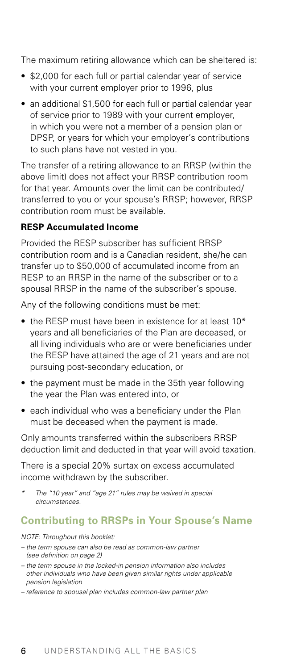<span id="page-10-0"></span>The maximum retiring allowance which can be sheltered is:

- \$2,000 for each full or partial calendar year of service with your current employer prior to 1996, plus
- an additional \$1,500 for each full or partial calendar year of service prior to 1989 with your current employer, in which you were not a member of a pension plan or DPSP, or years for which your employer's contributions to such plans have not vested in you.

The transfer of a retiring allowance to an RRSP (within the above limit) does not affect your RRSP contribution room for that year. Amounts over the limit can be contributed/ transferred to you or your spouse's RRSP; however, RRSP contribution room must be available.

#### **RESP Accumulated Income**

Provided the RESP subscriber has sufficient RRSP contribution room and is a Canadian resident, she/he can transfer up to \$50,000 of accumulated income from an RESP to an RRSP in the name of the subscriber or to a spousal RRSP in the name of the subscriber's spouse.

Any of the following conditions must be met:

- the RESP must have been in existence for at least 10\* years and all beneficiaries of the Plan are deceased, or all living individuals who are or were beneficiaries under the RESP have attained the age of 21 years and are not pursuing post-secondary education, or
- the payment must be made in the 35th year following the year the Plan was entered into, or
- each individual who was a beneficiary under the Plan must be deceased when the payment is made.

Only amounts transferred within the subscribers RRSP deduction limit and deducted in that year will avoid taxation.

There is a special 20% surtax on excess accumulated income withdrawn by the subscriber.

*\* The "10 year" and "age 21" rules may be waived in special circumstances.*

## **Contributing to RRSPs in Your Spouse's Name**

*NOTE: Throughout this booklet:*

- *the term spouse can also be read as common-law partner (see definition on page 2)*
- *the term spouse in the locked-in pension information also includes other individuals who have been given similar rights under applicable pension legislation*
- *reference to spousal plan includes common-law partner plan*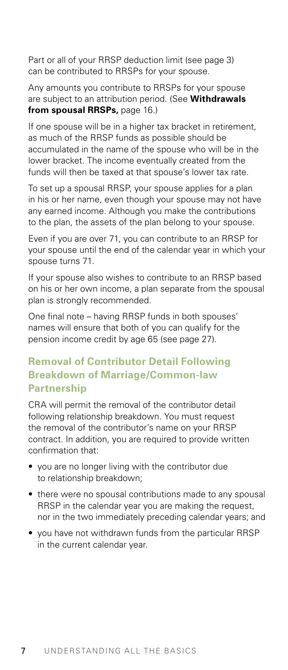<span id="page-11-0"></span>Part or all of your RRSP deduction limit (see page 3) can be contributed to RRSPs for your spouse.

Any amounts you contribute to RRSPs for your spouse are subject to an attribution period. (See **Withdrawals from spousal RRSPs,** page 16.)

If one spouse will be in a higher tax bracket in retirement, as much of the RRSP funds as possible should be accumulated in the name of the spouse who will be in the lower bracket. The income eventually created from the funds will then be taxed at that spouse's lower tax rate.

To set up a spousal RRSP, your spouse applies for a plan in his or her name, even though your spouse may not have any earned income. Although you make the contributions to the plan, the assets of the plan belong to your spouse.

Even if you are over 71, you can contribute to an RRSP for your spouse until the end of the calendar year in which your spouse turns 71.

If your spouse also wishes to contribute to an RRSP based on his or her own income, a plan separate from the spousal plan is strongly recommended.

One final note – having RRSP funds in both spouses' names will ensure that both of you can qualify for the pension income credit by age 65 (see page 27).

# **Removal of Contributor Detail Following Breakdown of Marriage/Common-law Partnership**

CRA will permit the removal of the contributor detail following relationship breakdown. You must request the removal of the contributor's name on your RRSP contract. In addition, you are required to provide written confirmation that:

- you are no longer living with the contributor due to relationship breakdown;
- there were no spousal contributions made to any spousal RRSP in the calendar year you are making the request, nor in the two immediately preceding calendar years; and
- you have not withdrawn funds from the particular RRSP in the current calendar year.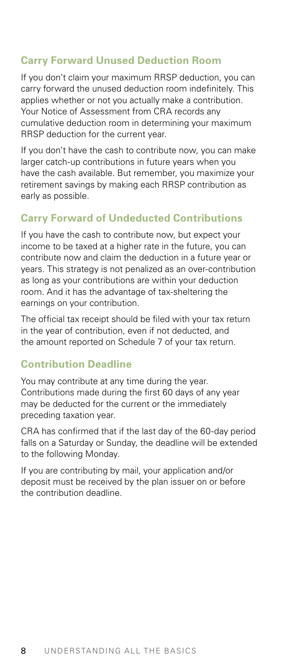# <span id="page-12-0"></span>**Carry Forward Unused Deduction Room**

If you don't claim your maximum RRSP deduction, you can carry forward the unused deduction room indefinitely. This applies whether or not you actually make a contribution. Your Notice of Assessment from CRA records any cumulative deduction room in determining your maximum RRSP deduction for the current year.

If you don't have the cash to contribute now, you can make larger catch-up contributions in future years when you have the cash available. But remember, you maximize your retirement savings by making each RRSP contribution as early as possible.

# **Carry Forward of Undeducted Contributions**

If you have the cash to contribute now, but expect your income to be taxed at a higher rate in the future, you can contribute now and claim the deduction in a future year or years. This strategy is not penalized as an over-contribution as long as your contributions are within your deduction room. And it has the advantage of tax-sheltering the earnings on your contribution.

The official tax receipt should be filed with your tax return in the year of contribution, even if not deducted, and the amount reported on Schedule 7 of your tax return.

# **Contribution Deadline**

You may contribute at any time during the year. Contributions made during the first 60 days of any year may be deducted for the current or the immediately preceding taxation year.

CRA has confirmed that if the last day of the 60-day period falls on a Saturday or Sunday, the deadline will be extended to the following Monday.

If you are contributing by mail, your application and/or deposit must be received by the plan issuer on or before the contribution deadline.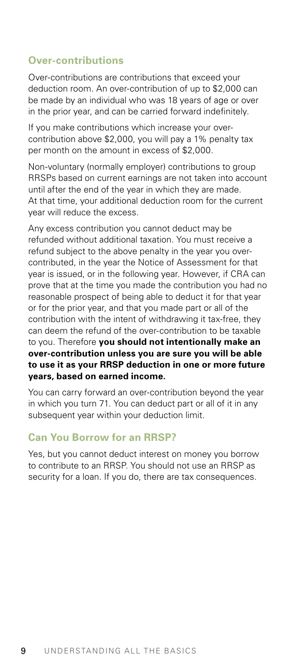#### <span id="page-13-0"></span>**Over-contributions**

Over-contributions are contributions that exceed your deduction room. An over-contribution of up to \$2,000 can be made by an individual who was 18 years of age or over in the prior year, and can be carried forward indefinitely.

If you make contributions which increase your overcontribution above \$2,000, you will pay a 1% penalty tax per month on the amount in excess of \$2,000.

Non-voluntary (normally employer) contributions to group RRSPs based on current earnings are not taken into account until after the end of the year in which they are made. At that time, your additional deduction room for the current year will reduce the excess.

Any excess contribution you cannot deduct may be refunded without additional taxation. You must receive a refund subject to the above penalty in the year you overcontributed, in the year the Notice of Assessment for that year is issued, or in the following year. However, if CRA can prove that at the time you made the contribution you had no reasonable prospect of being able to deduct it for that year or for the prior year, and that you made part or all of the contribution with the intent of withdrawing it tax-free, they can deem the refund of the over-contribution to be taxable to you. Therefore **you should not intentionally make an over-contribution unless you are sure you will be able to use it as your RRSP deduction in one or more future years, based on earned income.**

You can carry forward an over-contribution beyond the year in which you turn 71. You can deduct part or all of it in any subsequent year within your deduction limit.

## **Can You Borrow for an RRSP?**

Yes, but you cannot deduct interest on money you borrow to contribute to an RRSP. You should not use an RRSP as security for a loan. If you do, there are tax consequences.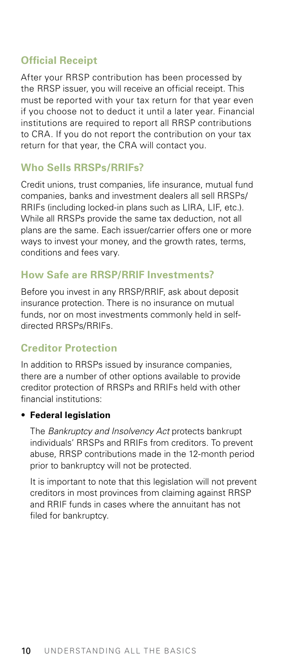# <span id="page-14-0"></span>**Official Receipt**

After your RRSP contribution has been processed by the RRSP issuer, you will receive an official receipt. This must be reported with your tax return for that year even if you choose not to deduct it until a later year. Financial institutions are required to report all RRSP contributions to CRA. If you do not report the contribution on your tax return for that year, the CRA will contact you.

# **Who Sells RRSPs/RRIFs?**

Credit unions, trust companies, life insurance, mutual fund companies, banks and investment dealers all sell RRSPs/ RRIFs (including locked-in plans such as LIRA, LIF, etc.). While all RRSPs provide the same tax deduction, not all plans are the same. Each issuer/carrier offers one or more ways to invest your money, and the growth rates, terms. conditions and fees vary.

# **How Safe are RRSP/RRIF Investments?**

Before you invest in any RRSP/RRIF, ask about deposit insurance protection. There is no insurance on mutual funds, nor on most investments commonly held in selfdirected RRSPs/RRIFs.

# **Creditor Protection**

In addition to RRSPs issued by insurance companies, there are a number of other options available to provide creditor protection of RRSPs and RRIFs held with other financial institutions:

#### • **Federal legislation**

 The *Bankruptcy and Insolvency Act* protects bankrupt individuals' RRSPs and RRIFs from creditors. To prevent abuse, RRSP contributions made in the 12-month period prior to bankruptcy will not be protected.

 It is important to note that this legislation will not prevent creditors in most provinces from claiming against RRSP and RRIF funds in cases where the annuitant has not filed for bankruptcy.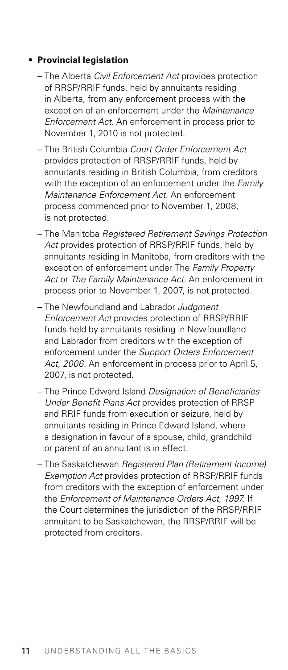#### • **Provincial legislation**

- The Alberta *Civil Enforcement Act* provides protection of RRSP/RRIF funds, held by annuitants residing in Alberta, from any enforcement process with the exception of an enforcement under the *Maintenance Enforcement Act*. An enforcement in process prior to November 1, 2010 is not protected.
- The British Columbia *Court Order Enforcement Act* provides protection of RRSP/RRIF funds, held by annuitants residing in British Columbia, from creditors with the exception of an enforcement under the *Family Maintenance Enforcement Act*. An enforcement process commenced prior to November 1, 2008, is not protected.
- The Manitoba *Registered Retirement Savings Protection Act* provides protection of RRSP/RRIF funds, held by annuitants residing in Manitoba, from creditors with the exception of enforcement under The *Family Property*  Act or *The Family Maintenance Act*. An enforcement in process prior to November 1, 2007, is not protected.
- The Newfoundland and Labrador *Judgment Enforcement Act* provides protection of RRSP/RRIF funds held by annuitants residing in Newfoundland and Labrador from creditors with the exception of enforcement under the *Support Orders Enforcement Act*, *2006*. An enforcement in process prior to April 5, 2007, is not protected.
- The Prince Edward Island *Designation of Beneficiaries Under Benefit Plans Act* provides protection of RRSP and RRIF funds from execution or seizure, held by annuitants residing in Prince Edward Island, where a designation in favour of a spouse, child, grandchild or parent of an annuitant is in effect.
- The Saskatchewan *Registered Plan (Retirement Income) Exemption Act* provides protection of RRSP/RRIF funds from creditors with the exception of enforcement under the *Enforcement of Maintenance Orders Act*, *1997*. If the Court determines the jurisdiction of the RRSP/RRIF annuitant to be Saskatchewan, the RRSP/RRIF will be protected from creditors.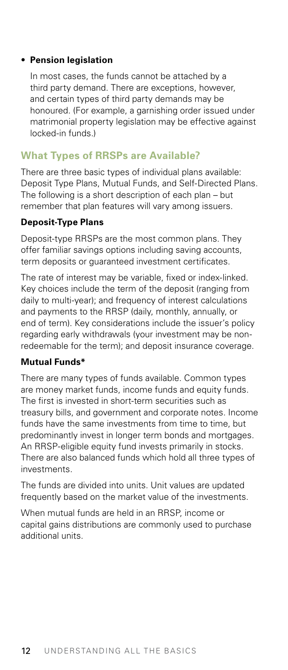#### <span id="page-16-0"></span>• **Pension legislation**

 In most cases, the funds cannot be attached by a third party demand. There are exceptions, however, and certain types of third party demands may be honoured. (For example, a garnishing order issued under matrimonial property legislation may be effective against locked-in funds.)

# **What Types of RRSPs are Available?**

There are three basic types of individual plans available: Deposit Type Plans, Mutual Funds, and Self-Directed Plans. The following is a short description of each plan – but remember that plan features will vary among issuers.

#### **Deposit-Type Plans**

Deposit-type RRSPs are the most common plans. They offer familiar savings options including saving accounts, term deposits or guaranteed investment certificates.

The rate of interest may be variable, fixed or index-linked. Key choices include the term of the deposit (ranging from daily to multi-year); and frequency of interest calculations and payments to the RRSP (daily, monthly, annually, or end of term). Key considerations include the issuer's policy regarding early withdrawals (your investment may be nonredeemable for the term); and deposit insurance coverage.

#### **Mutual Funds\***

There are many types of funds available. Common types are money market funds, income funds and equity funds. The first is invested in short-term securities such as treasury bills, and government and corporate notes. Income funds have the same investments from time to time, but predominantly invest in longer term bonds and mortgages. An RRSP-eligible equity fund invests primarily in stocks. There are also balanced funds which hold all three types of investments.

The funds are divided into units. Unit values are updated frequently based on the market value of the investments.

When mutual funds are held in an RRSP, income or capital gains distributions are commonly used to purchase additional units.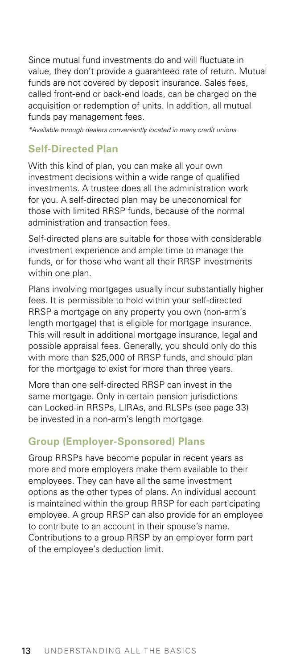<span id="page-17-0"></span>Since mutual fund investments do and will fluctuate in value, they don't provide a guaranteed rate of return. Mutual funds are not covered by deposit insurance. Sales fees, called front-end or back-end loads, can be charged on the acquisition or redemption of units. In addition, all mutual funds pay management fees.

*\*Available through dealers conveniently located in many credit unions*

# **Self-Directed Plan**

With this kind of plan, you can make all your own investment decisions within a wide range of qualified investments. A trustee does all the administration work for you. A self-directed plan may be uneconomical for those with limited RRSP funds, because of the normal administration and transaction fees.

Self-directed plans are suitable for those with considerable investment experience and ample time to manage the funds, or for those who want all their RRSP investments within one plan.

Plans involving mortgages usually incur substantially higher fees. It is permissible to hold within your self-directed RRSP a mortgage on any property you own (non-arm's length mortgage) that is eligible for mortgage insurance. This will result in additional mortgage insurance, legal and possible appraisal fees. Generally, you should only do this with more than \$25,000 of RRSP funds, and should plan for the mortgage to exist for more than three years.

More than one self-directed RRSP can invest in the same mortgage. Only in certain pension jurisdictions can Locked-in RRSPs, LIRAs, and RLSPs (see page 33) be invested in a non-arm's length mortgage.

# **Group (Employer-Sponsored) Plans**

Group RRSPs have become popular in recent years as more and more employers make them available to their employees. They can have all the same investment options as the other types of plans. An individual account is maintained within the group RRSP for each participating employee. A group RRSP can also provide for an employee to contribute to an account in their spouse's name. Contributions to a group RRSP by an employer form part of the employee's deduction limit.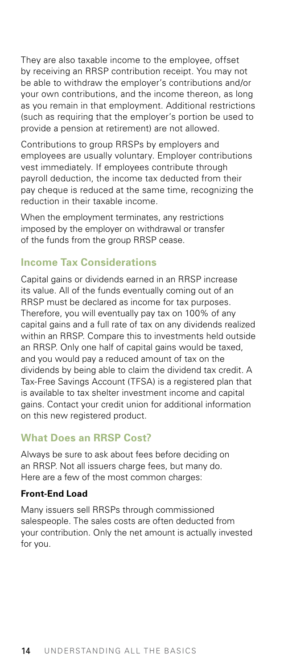<span id="page-18-0"></span>They are also taxable income to the employee, offset by receiving an RRSP contribution receipt. You may not be able to withdraw the employer's contributions and/or your own contributions, and the income thereon, as long as you remain in that employment. Additional restrictions (such as requiring that the employer's portion be used to provide a pension at retirement) are not allowed.

Contributions to group RRSPs by employers and employees are usually voluntary. Employer contributions vest immediately. If employees contribute through payroll deduction, the income tax deducted from their pay cheque is reduced at the same time, recognizing the reduction in their taxable income.

When the employment terminates, any restrictions imposed by the employer on withdrawal or transfer of the funds from the group RRSP cease.

#### **Income Tax Considerations**

Capital gains or dividends earned in an RRSP increase its value. All of the funds eventually coming out of an RRSP must be declared as income for tax purposes. Therefore, you will eventually pay tax on 100% of any capital gains and a full rate of tax on any dividends realized within an RRSP. Compare this to investments held outside an RRSP. Only one half of capital gains would be taxed, and you would pay a reduced amount of tax on the dividends by being able to claim the dividend tax credit. A Tax-Free Savings Account (TFSA) is a registered plan that is available to tax shelter investment income and capital gains. Contact your credit union for additional information on this new registered product.

# **What Does an RRSP Cost?**

Always be sure to ask about fees before deciding on an RRSP. Not all issuers charge fees, but many do. Here are a few of the most common charges:

#### **Front-End Load**

Many issuers sell RRSPs through commissioned salespeople. The sales costs are often deducted from your contribution. Only the net amount is actually invested for you.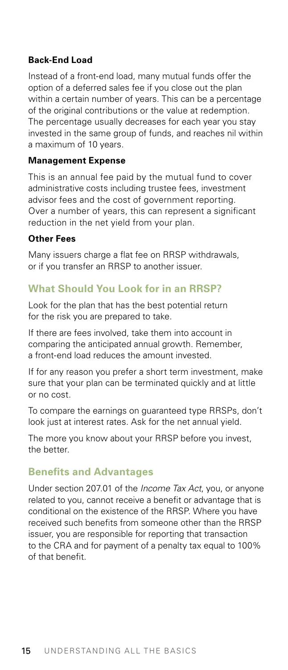#### <span id="page-19-0"></span>**Back-End Load**

Instead of a front-end load, many mutual funds offer the option of a deferred sales fee if you close out the plan within a certain number of years. This can be a percentage of the original contributions or the value at redemption. The percentage usually decreases for each year you stay invested in the same group of funds, and reaches nil within a maximum of 10 years.

#### **Management Expense**

This is an annual fee paid by the mutual fund to cover administrative costs including trustee fees, investment advisor fees and the cost of government reporting. Over a number of years, this can represent a significant reduction in the net yield from your plan.

#### **Other Fees**

Many issuers charge a flat fee on RRSP withdrawals, or if you transfer an RRSP to another issuer.

#### **What Should You Look for in an RRSP?**

Look for the plan that has the best potential return for the risk you are prepared to take.

If there are fees involved, take them into account in comparing the anticipated annual growth. Remember, a front-end load reduces the amount invested.

If for any reason you prefer a short term investment, make sure that your plan can be terminated quickly and at little or no cost.

To compare the earnings on guaranteed type RRSPs, don't look just at interest rates. Ask for the net annual yield.

The more you know about your RRSP before you invest, the better.

#### **Benefits and Advantages**

Under section 207.01 of the *Income Tax Act*, you, or anyone related to you, cannot receive a benefit or advantage that is conditional on the existence of the RRSP. Where you have received such benefits from someone other than the RRSP issuer, you are responsible for reporting that transaction to the CRA and for payment of a penalty tax equal to 100% of that benefit.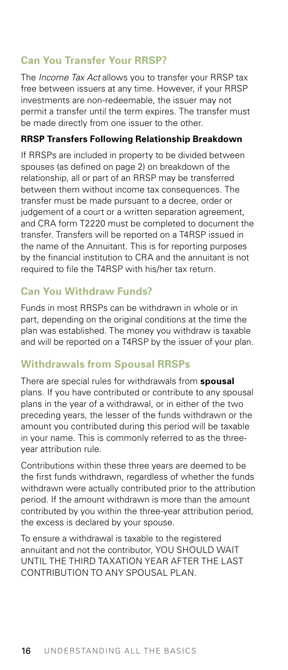# <span id="page-20-0"></span>**Can You Transfer Your RRSP?**

The *Income Tax Act* allows you to transfer your RRSP tax free between issuers at any time. However, if your RRSP investments are non-redeemable, the issuer may not permit a transfer until the term expires. The transfer must be made directly from one issuer to the other.

#### **RRSP Transfers Following Relationship Breakdown**

If RRSPs are included in property to be divided between spouses (as defined on page 2) on breakdown of the relationship, all or part of an RRSP may be transferred between them without income tax consequences. The transfer must be made pursuant to a decree, order or judgement of a court or a written separation agreement, and CRA form T2220 must be completed to document the transfer. Transfers will be reported on a T4RSP issued in the name of the Annuitant. This is for reporting purposes by the financial institution to CRA and the annuitant is not required to file the T4RSP with his/her tax return.

# **Can You Withdraw Funds?**

Funds in most RRSPs can be withdrawn in whole or in part, depending on the original conditions at the time the plan was established. The money you withdraw is taxable and will be reported on a T4RSP by the issuer of your plan.

## **Withdrawals from Spousal RRSPs**

There are special rules for withdrawals from **spousal** plans. If you have contributed or contribute to any spousal plans in the year of a withdrawal, or in either of the two preceding years, the lesser of the funds withdrawn or the amount you contributed during this period will be taxable in your name. This is commonly referred to as the threeyear attribution rule.

Contributions within these three years are deemed to be the first funds withdrawn, regardless of whether the funds withdrawn were actually contributed prior to the attribution period. If the amount withdrawn is more than the amount contributed by you within the three-year attribution period, the excess is declared by your spouse.

To ensure a withdrawal is taxable to the registered annuitant and not the contributor, YOU SHOULD WAIT UNTIL THE THIRD TAXATION YEAR AFTER THE LAST CONTRIBUTION TO ANY SPOUSAL PLAN.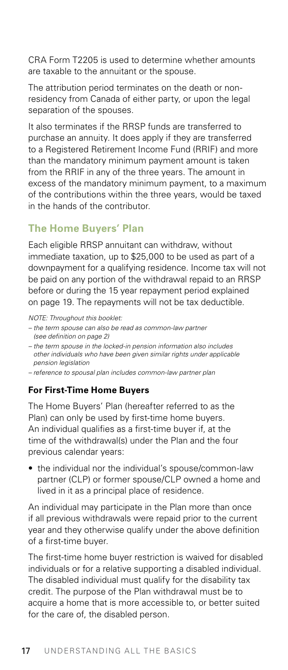<span id="page-21-0"></span>CRA Form T2205 is used to determine whether amounts are taxable to the annuitant or the spouse.

The attribution period terminates on the death or nonresidency from Canada of either party, or upon the legal separation of the spouses.

It also terminates if the RRSP funds are transferred to purchase an annuity. It does apply if they are transferred to a Registered Retirement Income Fund (RRIF) and more than the mandatory minimum payment amount is taken from the RRIF in any of the three years. The amount in excess of the mandatory minimum payment, to a maximum of the contributions within the three years, would be taxed in the hands of the contributor.

# **The Home Buyers' Plan**

Each eligible RRSP annuitant can withdraw, without immediate taxation, up to \$25,000 to be used as part of a downpayment for a qualifying residence. Income tax will not be paid on any portion of the withdrawal repaid to an RRSP before or during the 15 year repayment period explained on page 19. The repayments will not be tax deductible.

*NOTE: Throughout this booklet:*

- *the term spouse can also be read as common-law partner (see definition on page 2)*
- *the term spouse in the locked-in pension information also includes other individuals who have been given similar rights under applicable pension legislation*
- *reference to spousal plan includes common-law partner plan*

#### **For First-Time Home Buyers**

The Home Buyers' Plan (hereafter referred to as the Plan) can only be used by first-time home buyers. An individual qualifies as a first-time buyer if, at the time of the withdrawal(s) under the Plan and the four previous calendar years:

• the individual nor the individual's spouse/common-law partner (CLP) or former spouse/CLP owned a home and lived in it as a principal place of residence.

An individual may participate in the Plan more than once if all previous withdrawals were repaid prior to the current year and they otherwise qualify under the above definition of a first-time buyer.

The first-time home buyer restriction is waived for disabled individuals or for a relative supporting a disabled individual. The disabled individual must qualify for the disability tax credit. The purpose of the Plan withdrawal must be to acquire a home that is more accessible to, or better suited for the care of, the disabled person.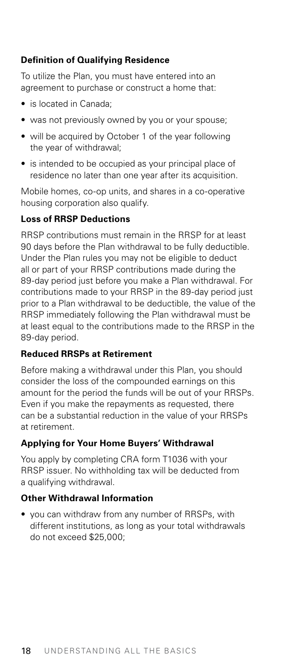### **Definition of Qualifying Residence**

To utilize the Plan, you must have entered into an agreement to purchase or construct a home that:

- is located in Canada:
- was not previously owned by you or your spouse;
- will be acquired by October 1 of the year following the year of withdrawal;
- is intended to be occupied as your principal place of residence no later than one year after its acquisition.

Mobile homes, co-op units, and shares in a co-operative housing corporation also qualify.

#### **Loss of RRSP Deductions**

RRSP contributions must remain in the RRSP for at least 90 days before the Plan withdrawal to be fully deductible. Under the Plan rules you may not be eligible to deduct all or part of your RRSP contributions made during the 89-day period just before you make a Plan withdrawal. For contributions made to your RRSP in the 89-day period just prior to a Plan withdrawal to be deductible, the value of the RRSP immediately following the Plan withdrawal must be at least equal to the contributions made to the RRSP in the 89-day period.

#### **Reduced RRSPs at Retirement**

Before making a withdrawal under this Plan, you should consider the loss of the compounded earnings on this amount for the period the funds will be out of your RRSPs. Even if you make the repayments as requested, there can be a substantial reduction in the value of your RRSPs at retirement.

#### **Applying for Your Home Buyers' Withdrawal**

You apply by completing CRA form T1036 with your RRSP issuer. No withholding tax will be deducted from a qualifying withdrawal.

#### **Other Withdrawal Information**

• you can withdraw from any number of RRSPs, with different institutions, as long as your total withdrawals do not exceed \$25,000;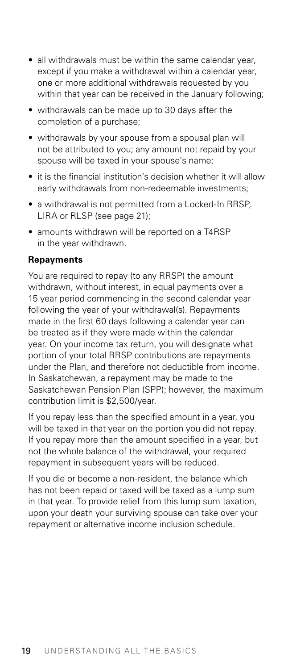- all withdrawals must be within the same calendar year, except if you make a withdrawal within a calendar year, one or more additional withdrawals requested by you within that year can be received in the January following;
- withdrawals can be made up to 30 days after the completion of a purchase;
- withdrawals by your spouse from a spousal plan will not be attributed to you; any amount not repaid by your spouse will be taxed in your spouse's name;
- it is the financial institution's decision whether it will allow early withdrawals from non-redeemable investments;
- a withdrawal is not permitted from a Locked-In RRSP, LIRA or RLSP (see page 21);
- amounts withdrawn will be reported on a T4RSP in the year withdrawn.

#### **Repayments**

You are required to repay (to any RRSP) the amount withdrawn, without interest, in equal payments over a 15 year period commencing in the second calendar year following the year of your withdrawal(s). Repayments made in the first 60 days following a calendar year can be treated as if they were made within the calendar year. On your income tax return, you will designate what portion of your total RRSP contributions are repayments under the Plan, and therefore not deductible from income. In Saskatchewan, a repayment may be made to the Saskatchewan Pension Plan (SPP); however, the maximum contribution limit is \$2,500/year.

If you repay less than the specified amount in a year, you will be taxed in that year on the portion you did not repay. If you repay more than the amount specified in a year, but not the whole balance of the withdrawal, your required repayment in subsequent years will be reduced.

If you die or become a non-resident, the balance which has not been repaid or taxed will be taxed as a lump sum in that year. To provide relief from this lump sum taxation, upon your death your surviving spouse can take over your repayment or alternative income inclusion schedule.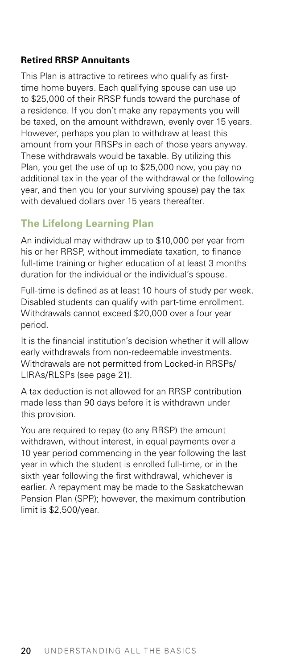#### <span id="page-24-0"></span>**Retired RRSP Annuitants**

This Plan is attractive to retirees who qualify as firsttime home buyers. Each qualifying spouse can use up to \$25,000 of their RRSP funds toward the purchase of a residence. If you don't make any repayments you will be taxed, on the amount withdrawn, evenly over 15 years. However, perhaps you plan to withdraw at least this amount from your RRSPs in each of those years anyway. These withdrawals would be taxable. By utilizing this Plan, you get the use of up to \$25,000 now, you pay no additional tax in the year of the withdrawal or the following year, and then you (or your surviving spouse) pay the tax with devalued dollars over 15 years thereafter.

# **The Lifelong Learning Plan**

An individual may withdraw up to \$10,000 per year from his or her RRSP, without immediate taxation, to finance full-time training or higher education of at least 3 months duration for the individual or the individual's spouse.

Full-time is defined as at least 10 hours of study per week. Disabled students can qualify with part-time enrollment. Withdrawals cannot exceed \$20,000 over a four year period.

It is the financial institution's decision whether it will allow early withdrawals from non-redeemable investments. Withdrawals are not permitted from Locked-in RRSPs/ LIRAs/RLSPs (see page 21).

A tax deduction is not allowed for an RRSP contribution made less than 90 days before it is withdrawn under this provision.

You are required to repay (to any RRSP) the amount withdrawn, without interest, in equal payments over a 10 year period commencing in the year following the last year in which the student is enrolled full-time, or in the sixth year following the first withdrawal, whichever is earlier. A repayment may be made to the Saskatchewan Pension Plan (SPP); however, the maximum contribution limit is \$2,500/year.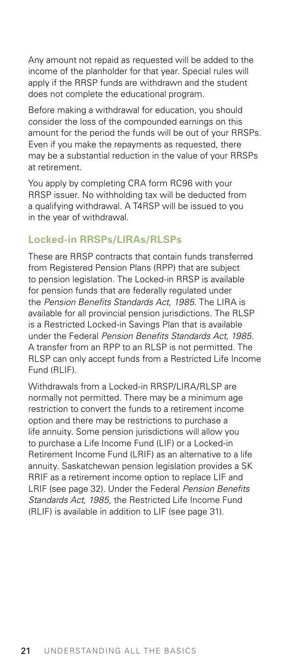<span id="page-25-0"></span>Any amount not repaid as requested will be added to the income of the planholder for that year. Special rules will apply if the RRSP funds are withdrawn and the student does not complete the educational program.

Before making a withdrawal for education, you should consider the loss of the compounded earnings on this amount for the period the funds will be out of your RRSPs. Even if you make the repayments as requested, there may be a substantial reduction in the value of your RRSPs at retirement.

You apply by completing CRA form RC96 with your RRSP issuer. No withholding tax will be deducted from a qualifying withdrawal. A T4RSP will be issued to you in the year of withdrawal.

## **Locked-in RRSPs/LIRAs/RLSPs**

These are RRSP contracts that contain funds transferred from Registered Pension Plans (RPP) that are subject to pension legislation. The Locked-in RRSP is available for pension funds that are federally regulated under the *Pension Benefits Standards Act*, *1985*. The LIRA is available for all provincial pension jurisdictions. The RLSP is a Restricted Locked-in Savings Plan that is available under the Federal *Pension Benefits Standards Act, 1985*. A transfer from an RPP to an RLSP is not permitted. The RLSP can only accept funds from a Restricted Life Income Fund (RLIF).

Withdrawals from a Locked-in RRSP/LIRA/RLSP are normally not permitted. There may be a minimum age restriction to convert the funds to a retirement income option and there may be restrictions to purchase a life annuity. Some pension jurisdictions will allow you to purchase a Life Income Fund (LIF) or a Locked-in Retirement Income Fund (LRIF) as an alternative to a life annuity. Saskatchewan pension legislation provides a SK RRIF as a retirement income option to replace LIF and LRIF (see page 32). Under the Federal *Pension Benefits Standards Act, 1985*, the Restricted Life Income Fund (RLIF) is available in addition to LIF (see page 31).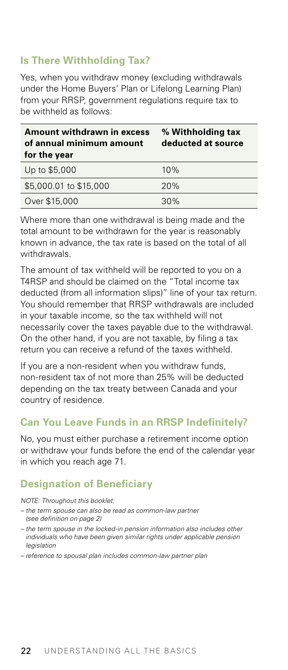# <span id="page-26-0"></span>**Is There Withholding Tax?**

Yes, when you withdraw money (excluding withdrawals under the Home Buyers' Plan or Lifelong Learning Plan) from your RRSP, government regulations require tax to be withheld as follows:

| Amount withdrawn in excess<br>of annual minimum amount<br>for the year | % Withholding tax<br>deducted at source |
|------------------------------------------------------------------------|-----------------------------------------|
| Up to \$5,000                                                          | 10%                                     |
| \$5,000.01 to \$15,000                                                 | 20%                                     |
| Over \$15,000                                                          | 30%                                     |

Where more than one withdrawal is being made and the total amount to be withdrawn for the year is reasonably known in advance, the tax rate is based on the total of all withdrawals.

The amount of tax withheld will be reported to you on a T4RSP and should be claimed on the "Total income tax deducted (from all information slips)" line of your tax return. You should remember that RRSP withdrawals are included in your taxable income, so the tax withheld will not necessarily cover the taxes payable due to the withdrawal. On the other hand, if you are not taxable, by filing a tax return you can receive a refund of the taxes withheld.

If you are a non-resident when you withdraw funds, non-resident tax of not more than 25% will be deducted depending on the tax treaty between Canada and your country of residence.

## **Can You Leave Funds in an RRSP Indefinitely?**

No, you must either purchase a retirement income option or withdraw your funds before the end of the calendar year in which you reach age 71.

#### **Designation of Beneficiary**

*NOTE: Throughout this booklet:*

- *the term spouse can also be read as common-law partner (see definition on page 2)*
- *the term spouse in the locked-in pension information also includes other individuals who have been given similar rights under applicable pension legislation*
- *reference to spousal plan includes common-law partner plan*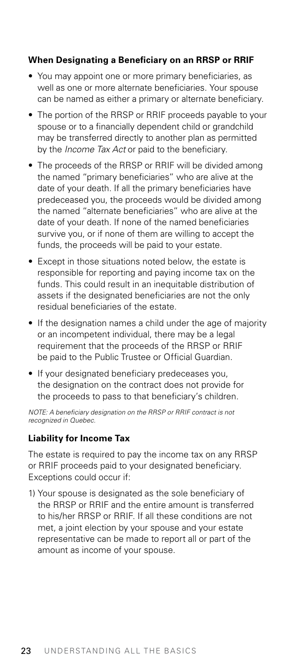#### **When Designating a Beneficiary on an RRSP or RRIF**

- You may appoint one or more primary beneficiaries, as well as one or more alternate beneficiaries. Your spouse can be named as either a primary or alternate beneficiary.
- The portion of the RRSP or RRIF proceeds payable to your spouse or to a financially dependent child or grandchild may be transferred directly to another plan as permitted by the *Income Tax Act* or paid to the beneficiary.
- The proceeds of the RRSP or RRIF will be divided among the named "primary beneficiaries" who are alive at the date of your death. If all the primary beneficiaries have predeceased you, the proceeds would be divided among the named "alternate beneficiaries" who are alive at the date of your death. If none of the named beneficiaries survive you, or if none of them are willing to accept the funds, the proceeds will be paid to your estate.
- Except in those situations noted below, the estate is responsible for reporting and paying income tax on the funds. This could result in an inequitable distribution of assets if the designated beneficiaries are not the only residual beneficiaries of the estate.
- If the designation names a child under the age of majority or an incompetent individual, there may be a legal requirement that the proceeds of the RRSP or RRIF be paid to the Public Trustee or Official Guardian.
- If your designated beneficiary predeceases you, the designation on the contract does not provide for the proceeds to pass to that beneficiary's children.

*NOTE: A beneficiary designation on the RRSP or RRIF contract is not recognized in Quebec.*

#### **Liability for Income Tax**

The estate is required to pay the income tax on any RRSP or RRIF proceeds paid to your designated beneficiary. Exceptions could occur if:

1) Your spouse is designated as the sole beneficiary of the RRSP or RRIF and the entire amount is transferred to his/her RRSP or RRIF. If all these conditions are not met, a joint election by your spouse and your estate representative can be made to report all or part of the amount as income of your spouse.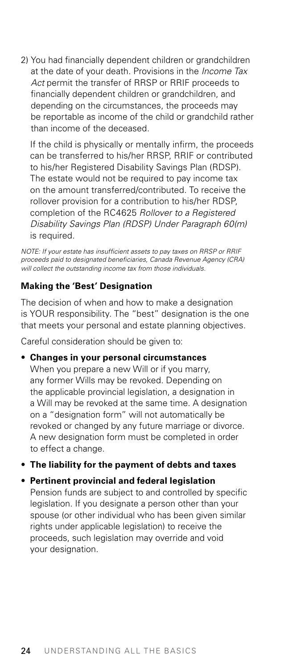2) You had financially dependent children or grandchildren at the date of your death. Provisions in the *Income Tax Act* permit the transfer of RRSP or RRIF proceeds to financially dependent children or grandchildren, and depending on the circumstances, the proceeds may be reportable as income of the child or grandchild rather than income of the deceased.

 If the child is physically or mentally infirm, the proceeds can be transferred to his/her RRSP, RRIF or contributed to his/her Registered Disability Savings Plan (RDSP). The estate would not be required to pay income tax on the amount transferred/contributed. To receive the rollover provision for a contribution to his/her RDSP, completion of the RC4625 *Rollover to a Registered Disability Savings Plan (RDSP) Under Paragraph 60(m)* is required.

*NOTE: If your estate has insufficient assets to pay taxes on RRSP or RRIF proceeds paid to designated beneficiaries, Canada Revenue Agency (CRA) will collect the outstanding income tax from those individuals.*

#### **Making the 'Best' Designation**

The decision of when and how to make a designation is YOUR responsibility. The "best" designation is the one that meets your personal and estate planning objectives.

Careful consideration should be given to:

• **Changes in your personal circumstances** When you prepare a new Will or if you marry, any former Wills may be revoked. Depending on the applicable provincial legislation, a designation in a Will may be revoked at the same time. A designation on a "designation form" will not automatically be revoked or changed by any future marriage or divorce. A new designation form must be completed in order to effect a change.

• **The liability for the payment of debts and taxes**

#### • **Pertinent provincial and federal legislation**

Pension funds are subject to and controlled by specific legislation. If you designate a person other than your spouse (or other individual who has been given similar rights under applicable legislation) to receive the proceeds, such legislation may override and void your designation.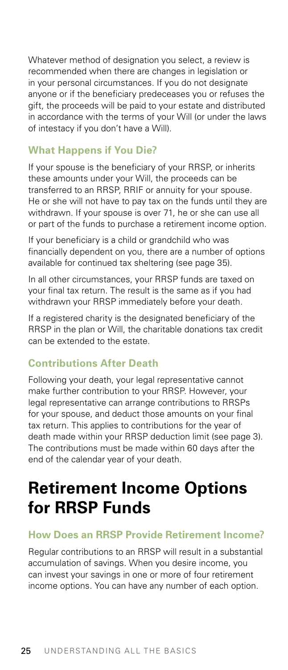<span id="page-29-0"></span>Whatever method of designation you select, a review is recommended when there are changes in legislation or in your personal circumstances. If you do not designate anyone or if the beneficiary predeceases you or refuses the gift, the proceeds will be paid to your estate and distributed in accordance with the terms of your Will (or under the laws of intestacy if you don't have a Will).

### **What Happens if You Die?**

If your spouse is the beneficiary of your RRSP, or inherits these amounts under your Will, the proceeds can be transferred to an RRSP, RRIF or annuity for your spouse. He or she will not have to pay tax on the funds until they are withdrawn. If your spouse is over 71, he or she can use all or part of the funds to purchase a retirement income option.

If your beneficiary is a child or grandchild who was financially dependent on you, there are a number of options available for continued tax sheltering (see page 35).

In all other circumstances, your RRSP funds are taxed on your final tax return. The result is the same as if you had withdrawn your RRSP immediately before your death.

If a registered charity is the designated beneficiary of the RRSP in the plan or Will, the charitable donations tax credit can be extended to the estate.

# **Contributions After Death**

Following your death, your legal representative cannot make further contribution to your RRSP. However, your legal representative can arrange contributions to RRSPs for your spouse, and deduct those amounts on your final tax return. This applies to contributions for the year of death made within your RRSP deduction limit (see page 3). The contributions must be made within 60 days after the end of the calendar year of your death.

# **Retirement Income Options for RRSP Funds**

#### **How Does an RRSP Provide Retirement Income?**

Regular contributions to an RRSP will result in a substantial accumulation of savings. When you desire income, you can invest your savings in one or more of four retirement income options. You can have any number of each option.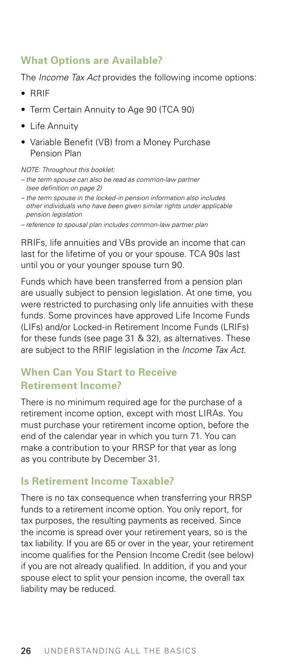# <span id="page-30-0"></span>**What Options are Available?**

The *Income Tax Act* provides the following income options:

- RRIF
- Term Certain Annuity to Age 90 (TCA 90)
- Life Annuity
- Variable Benefit (VB) from a Money Purchase Pension Plan

*NOTE: Throughout this booklet:*

- *the term spouse can also be read as common-law partner (see definition on page 2)*
- *the term spouse in the locked-in pension information also includes other individuals who have been given similar rights under applicable pension legislation*
- *reference to spousal plan includes common-law partner plan*

RRIFs, life annuities and VBs provide an income that can last for the lifetime of you or your spouse. TCA 90s last until you or your younger spouse turn 90.

Funds which have been transferred from a pension plan are usually subject to pension legislation. At one time, you were restricted to purchasing only life annuities with these funds. Some provinces have approved Life Income Funds (LIFs) and/or Locked-in Retirement Income Funds (LRIFs) for these funds (see page 31 & 32), as alternatives. These are subject to the RRIF legislation in the *Income Tax Act*.

# **When Can You Start to Receive Retirement Income?**

There is no minimum required age for the purchase of a retirement income option, except with most LIRAs. You must purchase your retirement income option, before the end of the calendar year in which you turn 71. You can make a contribution to your RRSP for that year as long as you contribute by December 31.

## **Is Retirement Income Taxable?**

There is no tax consequence when transferring your RRSP funds to a retirement income option. You only report, for tax purposes, the resulting payments as received. Since the income is spread over your retirement years, so is the tax liability. If you are 65 or over in the year, your retirement income qualifies for the Pension Income Credit (see below) if you are not already qualified. In addition, if you and your spouse elect to split your pension income, the overall tax liability may be reduced.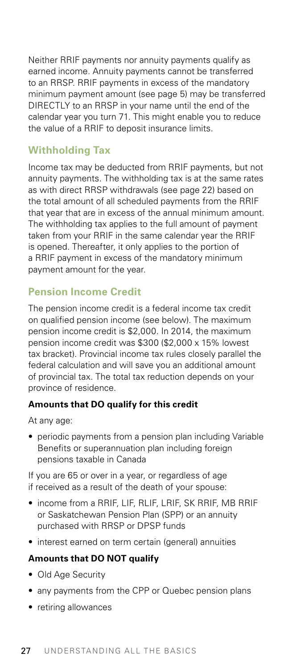<span id="page-31-0"></span>Neither RRIF payments nor annuity payments qualify as earned income. Annuity payments cannot be transferred to an RRSP. RRIF payments in excess of the mandatory minimum payment amount (see page 5) may be transferred DIRECTLY to an RRSP in your name until the end of the calendar year you turn 71. This might enable you to reduce the value of a RRIF to deposit insurance limits.

# **Withholding Tax**

Income tax may be deducted from RRIF payments, but not annuity payments. The withholding tax is at the same rates as with direct RRSP withdrawals (see page 22) based on the total amount of all scheduled payments from the RRIF that year that are in excess of the annual minimum amount. The withholding tax applies to the full amount of payment taken from your RRIF in the same calendar year the RRIF is opened. Thereafter, it only applies to the portion of a RRIF payment in excess of the mandatory minimum payment amount for the year.

# **Pension Income Credit**

The pension income credit is a federal income tax credit on qualified pension income (see below). The maximum pension income credit is \$2,000. In 2014, the maximum pension income credit was \$300 (\$2,000 x 15% lowest tax bracket). Provincial income tax rules closely parallel the federal calculation and will save you an additional amount of provincial tax. The total tax reduction depends on your province of residence.

#### **Amounts that DO qualify for this credit**

At any age:

• periodic payments from a pension plan including Variable Benefits or superannuation plan including foreign pensions taxable in Canada

If you are 65 or over in a year, or regardless of age if received as a result of the death of your spouse:

- income from a RRIF, LIF, RLIF, LRIF, SK RRIF, MB RRIF or Saskatchewan Pension Plan (SPP) or an annuity purchased with RRSP or DPSP funds
- interest earned on term certain (general) annuities

#### **Amounts that DO NOT qualify**

- Old Age Security
- any payments from the CPP or Quebec pension plans
- retiring allowances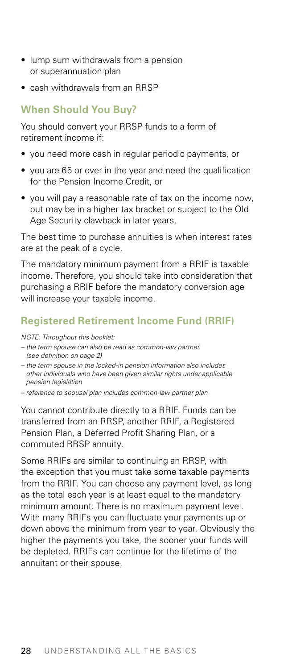- <span id="page-32-0"></span>• lump sum withdrawals from a pension or superannuation plan
- cash withdrawals from an RRSP

## **When Should You Buy?**

You should convert your RRSP funds to a form of retirement income if:

- you need more cash in regular periodic payments, or
- you are 65 or over in the year and need the qualification for the Pension Income Credit, or
- you will pay a reasonable rate of tax on the income now, but may be in a higher tax bracket or subject to the Old Age Security clawback in later years.

The best time to purchase annuities is when interest rates are at the peak of a cycle.

The mandatory minimum payment from a RRIF is taxable income. Therefore, you should take into consideration that purchasing a RRIF before the mandatory conversion age will increase your taxable income.

# **Registered Retirement Income Fund (RRIF)**

*NOTE: Throughout this booklet:*

- *the term spouse can also be read as common-law partner (see definition on page 2)*
- *the term spouse in the locked-in pension information also includes other individuals who have been given similar rights under applicable pension legislation*
- *reference to spousal plan includes common-law partner plan*

You cannot contribute directly to a RRIF. Funds can be transferred from an RRSP, another RRIF, a Registered Pension Plan, a Deferred Profit Sharing Plan, or a commuted RRSP annuity.

Some RRIFs are similar to continuing an RRSP, with the exception that you must take some taxable payments from the RRIF. You can choose any payment level, as long as the total each year is at least equal to the mandatory minimum amount. There is no maximum payment level. With many RRIFs you can fluctuate your payments up or down above the minimum from year to year. Obviously the higher the payments you take, the sooner your funds will be depleted. RRIFs can continue for the lifetime of the annuitant or their spouse.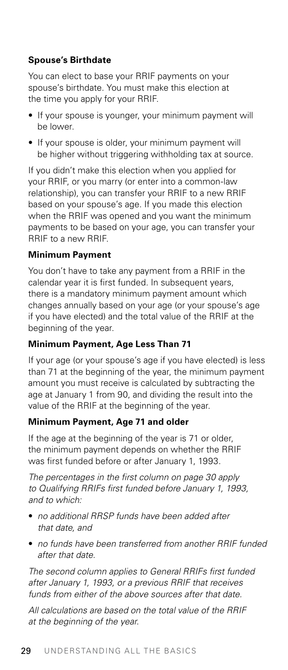#### **Spouse's Birthdate**

You can elect to base your RRIF payments on your spouse's birthdate. You must make this election at the time you apply for your RRIF.

- If your spouse is younger, your minimum payment will be lower.
- If your spouse is older, your minimum payment will be higher without triggering withholding tax at source.

If you didn't make this election when you applied for your RRIF, or you marry (or enter into a common-law relationship), you can transfer your RRIF to a new RRIF based on your spouse's age. If you made this election when the RRIF was opened and you want the minimum payments to be based on your age, you can transfer your RRIF to a new RRIF.

#### **Minimum Payment**

You don't have to take any payment from a RRIF in the calendar year it is first funded. In subsequent years, there is a mandatory minimum payment amount which changes annually based on your age (or your spouse's age if you have elected) and the total value of the RRIF at the beginning of the year.

#### **Minimum Payment, Age Less Than 71**

If your age (or your spouse's age if you have elected) is less than 71 at the beginning of the year, the minimum payment amount you must receive is calculated by subtracting the age at January 1 from 90, and dividing the result into the value of the RRIF at the beginning of the year.

### **Minimum Payment, Age 71 and older**

If the age at the beginning of the year is 71 or older, the minimum payment depends on whether the RRIF was first funded before or after January 1, 1993.

*The percentages in the first column on page 30 apply to Qualifying RRIFs first funded before January 1, 1993, and to which:*

- *no additional RRSP funds have been added after that date, and*
- *no funds have been transferred from another RRIF funded after that date.*

*The second column applies to General RRIFs first funded after January 1, 1993, or a previous RRIF that receives funds from either of the above sources after that date.*

*All calculations are based on the total value of the RRIF at the beginning of the year.*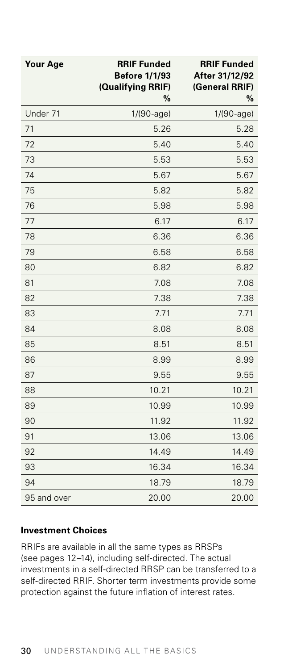| <b>Your Age</b> | <b>RRIF Funded</b><br><b>Before 1/1/93</b><br>(Qualifying RRIF)<br>% | <b>RRIF Funded</b><br>After 31/12/92<br>(General RRIF)<br>% |
|-----------------|----------------------------------------------------------------------|-------------------------------------------------------------|
| Under 71        | $1/(90 - age)$                                                       | 1/(90-age)                                                  |
| 71              | 5.26                                                                 | 5.28                                                        |
| 72              | 5.40                                                                 | 5.40                                                        |
| 73              | 5.53                                                                 | 5.53                                                        |
| 74              | 5.67                                                                 | 5.67                                                        |
| 75              | 5.82                                                                 | 5.82                                                        |
| 76              | 5.98                                                                 | 5.98                                                        |
| 77              | 6.17                                                                 | 6.17                                                        |
| 78              | 6.36                                                                 | 6.36                                                        |
| 79              | 6.58                                                                 | 6.58                                                        |
| 80              | 6.82                                                                 | 6.82                                                        |
| 81              | 7.08                                                                 | 7.08                                                        |
| 82              | 7.38                                                                 | 7.38                                                        |
| 83              | 7.71                                                                 | 7.71                                                        |
| 84              | 8.08                                                                 | 8.08                                                        |
| 85              | 8.51                                                                 | 8.51                                                        |
| 86              | 8.99                                                                 | 8.99                                                        |
| 87              | 9.55                                                                 | 9.55                                                        |
| 88              | 10.21                                                                | 10.21                                                       |
| 89              | 10.99                                                                | 10.99                                                       |
| 90              | 11.92                                                                | 11.92                                                       |
| 91              | 13.06                                                                | 13.06                                                       |
| 92              | 14.49                                                                | 14.49                                                       |
| 93              | 16.34                                                                | 16.34                                                       |
| 94              | 18.79                                                                | 18.79                                                       |
| 95 and over     | 20.00                                                                | 20.00                                                       |

#### **Investment Choices**

RRIFs are available in all the same types as RRSPs (see pages 12–14), including self-directed. The actual investments in a self-directed RRSP can be transferred to a self-directed RRIF. Shorter term investments provide some protection against the future inflation of interest rates.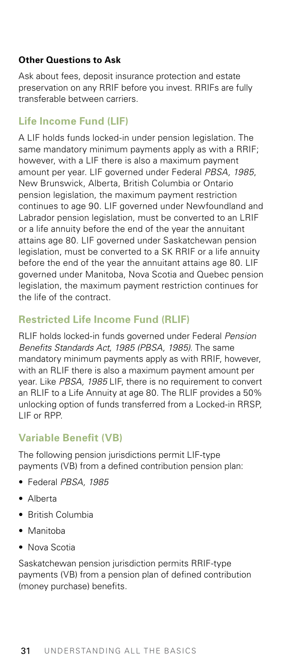#### <span id="page-35-0"></span>**Other Questions to Ask**

Ask about fees, deposit insurance protection and estate preservation on any RRIF before you invest. RRIFs are fully transferable between carriers.

# **Life Income Fund (LIF)**

A LIF holds funds locked-in under pension legislation. The same mandatory minimum payments apply as with a RRIF; however, with a LIF there is also a maximum payment amount per year. LIF governed under Federal *PBSA, 1985*, New Brunswick, Alberta, British Columbia or Ontario pension legislation, the maximum payment restriction continues to age 90. LIF governed under Newfoundland and Labrador pension legislation, must be converted to an LRIF or a life annuity before the end of the year the annuitant attains age 80. LIF governed under Saskatchewan pension legislation, must be converted to a SK RRIF or a life annuity before the end of the year the annuitant attains age 80. LIF governed under Manitoba, Nova Scotia and Quebec pension legislation, the maximum payment restriction continues for the life of the contract.

# **Restricted Life Income Fund (RLIF)**

RLIF holds locked-in funds governed under Federal *Pension Benefits Standards Act, 1985 (PBSA, 1985)*. The same mandatory minimum payments apply as with RRIF, however, with an RLIF there is also a maximum payment amount per year. Like *PBSA, 1985* LIF, there is no requirement to convert an RLIF to a Life Annuity at age 80. The RLIF provides a 50% unlocking option of funds transferred from a Locked-in RRSP, LIF or RPP.

# **Variable Benefit (VB)**

The following pension jurisdictions permit LIF-type payments (VB) from a defined contribution pension plan:

- Federal *PBSA, 1985*
- Alberta
- British Columbia
- Manitoba
- Nova Scotia

Saskatchewan pension jurisdiction permits RRIF-type payments (VB) from a pension plan of defined contribution (money purchase) benefits.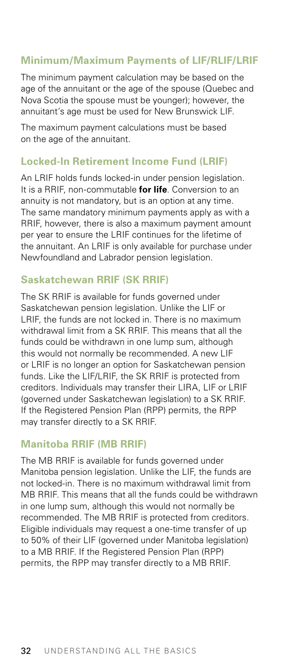## <span id="page-36-0"></span>**Minimum/Maximum Payments of LIF/RLIF/LRIF**

The minimum payment calculation may be based on the age of the annuitant or the age of the spouse (Quebec and Nova Scotia the spouse must be younger); however, the annuitant's age must be used for New Brunswick LIF.

The maximum payment calculations must be based on the age of the annuitant.

### **Locked-In Retirement Income Fund (LRIF)**

An LRIF holds funds locked-in under pension legislation. It is a RRIF, non-commutable **for life**. Conversion to an annuity is not mandatory, but is an option at any time. The same mandatory minimum payments apply as with a RRIF, however, there is also a maximum payment amount per year to ensure the LRIF continues for the lifetime of the annuitant. An LRIF is only available for purchase under Newfoundland and Labrador pension legislation.

## **Saskatchewan RRIF (SK RRIF)**

The SK RRIF is available for funds governed under Saskatchewan pension legislation. Unlike the LIF or LRIF, the funds are not locked in. There is no maximum withdrawal limit from a SK RRIF. This means that all the funds could be withdrawn in one lump sum, although this would not normally be recommended. A new LIF or LRIF is no longer an option for Saskatchewan pension funds. Like the LIF/LRIF, the SK RRIF is protected from creditors. Individuals may transfer their LIRA, LIF or LRIF (governed under Saskatchewan legislation) to a SK RRIF. If the Registered Pension Plan (RPP) permits, the RPP may transfer directly to a SK RRIF.

#### **Manitoba RRIF (MB RRIF)**

The MB RRIF is available for funds governed under Manitoba pension legislation. Unlike the LIF, the funds are not locked-in. There is no maximum withdrawal limit from MB RRIF. This means that all the funds could be withdrawn in one lump sum, although this would not normally be recommended. The MB RRIF is protected from creditors. Eligible individuals may request a one-time transfer of up to 50% of their LIF (governed under Manitoba legislation) to a MB RRIF. If the Registered Pension Plan (RPP) permits, the RPP may transfer directly to a MB RRIF.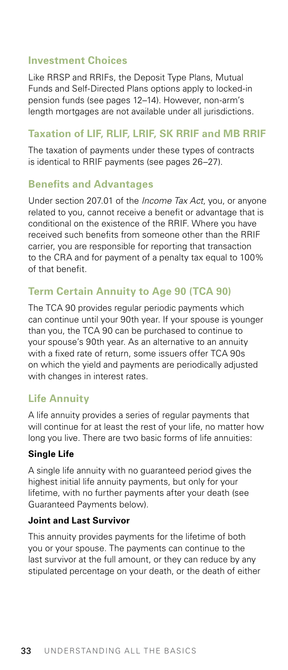### <span id="page-37-0"></span>**Investment Choices**

Like RRSP and RRIFs, the Deposit Type Plans, Mutual Funds and Self-Directed Plans options apply to locked-in pension funds (see pages 12–14). However, non-arm's length mortgages are not available under all jurisdictions.

### **Taxation of LIF, RLIF, LRIF, SK RRIF and MB RRIF**

The taxation of payments under these types of contracts is identical to RRIF payments (see pages 26–27).

#### **Benefits and Advantages**

Under section 207.01 of the *Income Tax Act*, you, or anyone related to you, cannot receive a benefit or advantage that is conditional on the existence of the RRIF. Where you have received such benefits from someone other than the RRIF carrier, you are responsible for reporting that transaction to the CRA and for payment of a penalty tax equal to 100% of that benefit.

# **Term Certain Annuity to Age 90 (TCA 90)**

The TCA 90 provides regular periodic payments which can continue until your 90th year. If your spouse is younger than you, the TCA 90 can be purchased to continue to your spouse's 90th year. As an alternative to an annuity with a fixed rate of return, some issuers offer TCA 90s on which the yield and payments are periodically adjusted with changes in interest rates.

## **Life Annuity**

A life annuity provides a series of regular payments that will continue for at least the rest of your life, no matter how long you live. There are two basic forms of life annuities:

#### **Single Life**

A single life annuity with no guaranteed period gives the highest initial life annuity payments, but only for your lifetime, with no further payments after your death (see Guaranteed Payments below).

#### **Joint and Last Survivor**

This annuity provides payments for the lifetime of both you or your spouse. The payments can continue to the last survivor at the full amount, or they can reduce by any stipulated percentage on your death, or the death of either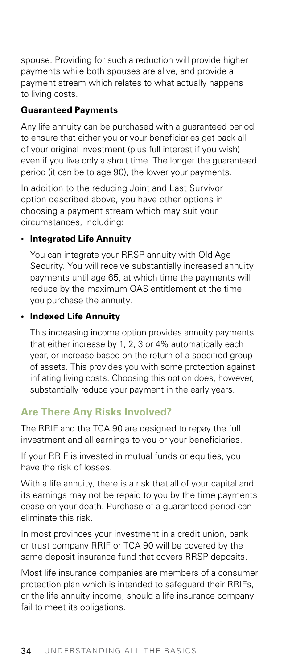<span id="page-38-0"></span>spouse. Providing for such a reduction will provide higher payments while both spouses are alive, and provide a payment stream which relates to what actually happens to living costs.

#### **Guaranteed Payments**

Any life annuity can be purchased with a guaranteed period to ensure that either you or your beneficiaries get back all of your original investment (plus full interest if you wish) even if you live only a short time. The longer the guaranteed period (it can be to age 90), the lower your payments.

In addition to the reducing Joint and Last Survivor option described above, you have other options in choosing a payment stream which may suit your circumstances, including:

#### **• Integrated Life Annuity**

 You can integrate your RRSP annuity with Old Age Security. You will receive substantially increased annuity payments until age 65, at which time the payments will reduce by the maximum OAS entitlement at the time you purchase the annuity.

#### **• Indexed Life Annuity**

This increasing income option provides annuity payments that either increase by 1, 2, 3 or 4% automatically each year, or increase based on the return of a specified group of assets. This provides you with some protection against inflating living costs. Choosing this option does, however, substantially reduce your payment in the early years.

# **Are There Any Risks Involved?**

The RRIF and the TCA 90 are designed to repay the full investment and all earnings to you or your beneficiaries.

If your RRIF is invested in mutual funds or equities, you have the risk of losses.

With a life annuity, there is a risk that all of your capital and its earnings may not be repaid to you by the time payments cease on your death. Purchase of a guaranteed period can eliminate this risk.

In most provinces your investment in a credit union, bank or trust company RRIF or TCA 90 will be covered by the same deposit insurance fund that covers RRSP deposits.

Most life insurance companies are members of a consumer protection plan which is intended to safeguard their RRIFs, or the life annuity income, should a life insurance company fail to meet its obligations.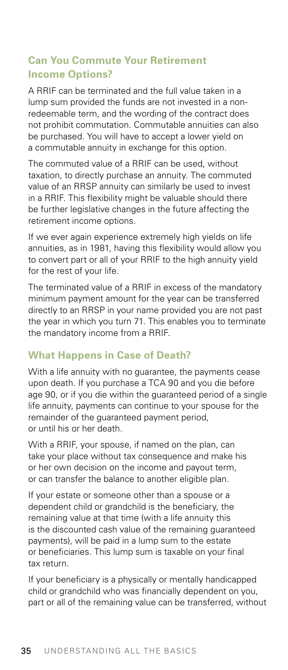# <span id="page-39-0"></span>**Can You Commute Your Retirement Income Options?**

A RRIF can be terminated and the full value taken in a lump sum provided the funds are not invested in a nonredeemable term, and the wording of the contract does not prohibit commutation. Commutable annuities can also be purchased. You will have to accept a lower yield on a commutable annuity in exchange for this option.

The commuted value of a RRIF can be used, without taxation, to directly purchase an annuity. The commuted value of an RRSP annuity can similarly be used to invest in a RRIF. This flexibility might be valuable should there be further legislative changes in the future affecting the retirement income options.

If we ever again experience extremely high yields on life annuities, as in 1981, having this flexibility would allow you to convert part or all of your RRIF to the high annuity yield for the rest of your life.

The terminated value of a RRIF in excess of the mandatory minimum payment amount for the year can be transferred directly to an RRSP in your name provided you are not past the year in which you turn 71. This enables you to terminate the mandatory income from a RRIF.

# **What Happens in Case of Death?**

With a life annuity with no guarantee, the payments cease upon death. If you purchase a TCA 90 and you die before age 90, or if you die within the guaranteed period of a single life annuity, payments can continue to your spouse for the remainder of the guaranteed payment period, or until his or her death.

With a RRIF, your spouse, if named on the plan, can take your place without tax consequence and make his or her own decision on the income and payout term, or can transfer the balance to another eligible plan.

If your estate or someone other than a spouse or a dependent child or grandchild is the beneficiary, the remaining value at that time (with a life annuity this is the discounted cash value of the remaining guaranteed payments), will be paid in a lump sum to the estate or beneficiaries. This lump sum is taxable on your final tax return.

If your beneficiary is a physically or mentally handicapped child or grandchild who was financially dependent on you, part or all of the remaining value can be transferred, without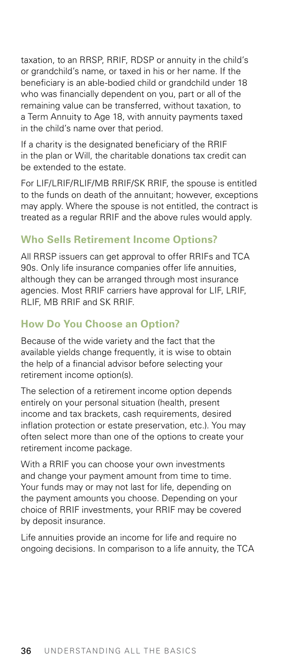<span id="page-40-0"></span>taxation, to an RRSP, RRIF, RDSP or annuity in the child's or grandchild's name, or taxed in his or her name. If the beneficiary is an able-bodied child or grandchild under 18 who was financially dependent on you, part or all of the remaining value can be transferred, without taxation, to a Term Annuity to Age 18, with annuity payments taxed in the child's name over that period.

If a charity is the designated beneficiary of the RRIF in the plan or Will, the charitable donations tax credit can be extended to the estate.

For LIF/LRIF/RLIF/MB RRIF/SK RRIF, the spouse is entitled to the funds on death of the annuitant; however, exceptions may apply. Where the spouse is not entitled, the contract is treated as a regular RRIF and the above rules would apply.

# **Who Sells Retirement Income Options?**

All RRSP issuers can get approval to offer RRIFs and TCA 90s. Only life insurance companies offer life annuities, although they can be arranged through most insurance agencies. Most RRIF carriers have approval for LIF, LRIF, RLIF, MB RRIF and SK RRIF.

# **How Do You Choose an Option?**

Because of the wide variety and the fact that the available yields change frequently, it is wise to obtain the help of a financial advisor before selecting your retirement income option(s).

The selection of a retirement income option depends entirely on your personal situation (health, present income and tax brackets, cash requirements, desired inflation protection or estate preservation, etc.). You may often select more than one of the options to create your retirement income package.

With a RRIF you can choose your own investments and change your payment amount from time to time. Your funds may or may not last for life, depending on the payment amounts you choose. Depending on your choice of RRIF investments, your RRIF may be covered by deposit insurance.

Life annuities provide an income for life and require no ongoing decisions. In comparison to a life annuity, the TCA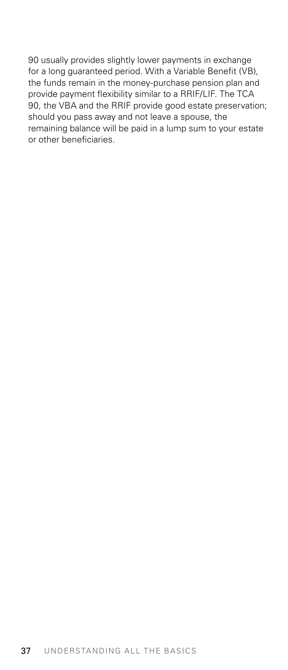90 usually provides slightly lower payments in exchange for a long guaranteed period. With a Variable Benefit (VB), the funds remain in the money-purchase pension plan and provide payment flexibility similar to a RRIF/LIF. The TCA 90, the VBA and the RRIF provide good estate preservation; should you pass away and not leave a spouse, the remaining balance will be paid in a lump sum to your estate or other beneficiaries.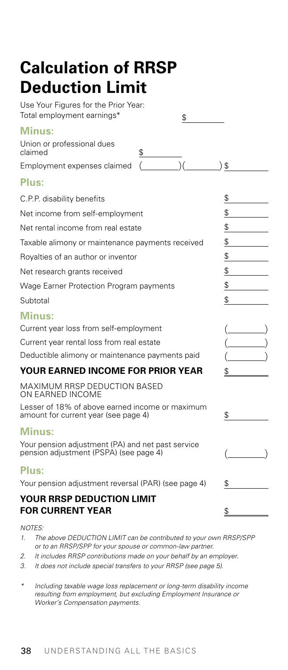# <span id="page-42-0"></span>**Calculation of RRSP Deduction Limit**

| Use Your Figures for the Prior Year:<br>Total employment earnings*<br>\$                    |    |
|---------------------------------------------------------------------------------------------|----|
| <b>Minus:</b>                                                                               |    |
| Union or professional dues<br>claimed<br>\$                                                 |    |
| Employment expenses claimed                                                                 | \$ |
| Plus:                                                                                       |    |
| C.P.P. disability benefits                                                                  | \$ |
| Net income from self-employment                                                             | \$ |
| Net rental income from real estate                                                          | \$ |
| Taxable alimony or maintenance payments received                                            | \$ |
| Royalties of an author or inventor                                                          | \$ |
| Net research grants received                                                                | \$ |
| Wage Earner Protection Program payments                                                     | \$ |
| Subtotal                                                                                    | \$ |
| Minus:                                                                                      |    |
| Current year loss from self-employment                                                      |    |
| Current year rental loss from real estate                                                   |    |
| Deductible alimony or maintenance payments paid                                             |    |
| YOUR EARNED INCOME FOR PRIOR YEAR                                                           | Ъ  |
| MAXIMUM RRSP DEDUCTION BASED<br>ON EARNED INCOME                                            |    |
| Lesser of 18% of above earned income or maximum<br>amount for current year (see page 4)     | \$ |
| Minus:                                                                                      |    |
| Your pension adjustment (PA) and net past service<br>pension adjustment (PSPA) (see page 4) |    |
| Plus:                                                                                       |    |
| Your pension adjustment reversal (PAR) (see page 4)                                         | \$ |
| YOUR RRSP DEDUCTION LIMIT<br><b>FOR CURRENT YEAR</b>                                        | \$ |

*NOTES:*

- *1. The above DEDUCTION LIMIT can be contributed to your own RRSP/SPP or to an RRSP/SPP for your spouse or common-law partner.*
- *2. It includes RRSP contributions made on your behalf by an employer.*
- *3. It does not include special transfers to your RRSP (see page 5).*
- *\* Including taxable wage loss replacement or long-term disability income resulting from employment, but excluding Employment Insurance or Worker's Compensation payments.*